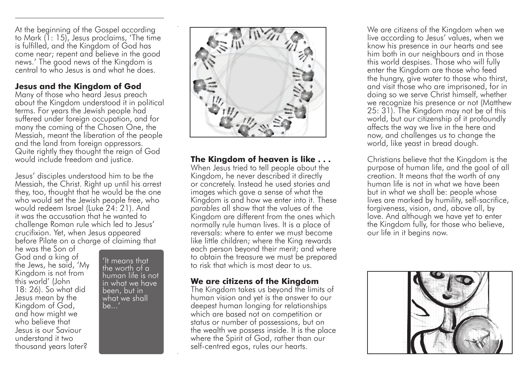At the beginning of the Gospel according to Mark (1: 15), Jesus proclaims, 'The time is fulfilled, and the Kingdom of God has come near; repent and believe in the good news.' The good news of the Kingdom is central to who Jesus is and what he does.

## **Jesus and the Kingdom of God**

Many of those who heard Jesus preach about the Kingdom understood it in political terms. For years the Jewish people had suffered under foreign occupation, and for many the coming of the Chosen One, the Messiah, meant the liberation of the people and the land from foreign oppressors. Quite rightly they thought the reign of God would include freedom and justice.

Jesus' disciples understood him to be the Messiah, the Christ. Right up until his arrest they, too, thought that he would be the one who would set the Jewish people free, who would redeem Israel (Luke 24: 21). And it was the accusation that he wanted to challenge Roman rule which led to Jesus' crucifixion. Yet, when Jesus appeared before Pilate on a charge of claiming that

he was the Son of God and a king of the Jews, he said, 'My Kingdom is not from this world' (John 18: 26). So what did Jesus mean by the Kingdom of God, and how might we who believe that Jesus is our Saviour understand it two thousand years later?

'It means that the worth of a human life is not in what we have been, but in what we shall be...'



**The Kingdom of heaven is like . . .**  When Jesus tried to tell people about the Kingdom, he never described it directly or concretely. Instead he used stories and images which gave a sense of what the Kingdom is and how we enter into it. These *parables* all show that the values of the Kingdom are different from the ones which normally rule human lives. It is a place of reversals: where to enter we must become like little children; where the King rewards each person beyond their merit; and where to obtain the treasure we must be prepared to risk that which is most dear to us.

## **We are citizens of the Kingdom**

The Kingdom takes us beyond the limits of human vision and yet is the answer to our deepest human longing for relationships which are based not on competition or status or number of possessions, but on the wealth we possess inside. It is the place where the Spirit of God, rather than our self-centred egos, rules our hearts.

We are citizens of the Kingdom when we live according to Jesus' values, when we know his presence in our hearts and see him both in our neighbours and in those this world despises. Those who will fully enter the Kingdom are those who feed the hungry, give water to those who thirst, and visit those who are imprisoned, for in doing so we serve Christ himself, whether we recognize his presence or not (Matthew 25: 31). The Kingdom may not be of this world, but our citizenship of it profoundly affects the way we live in the here and now, and challenges us to change the world, like yeast in bread dough.

Christians believe that the Kingdom is the purpose of human life, and the goal of all creation. It means that the worth of any human life is not in what we have been but in what we shall be: people whose lives are marked by humility, self-sacrifice, forgiveness, vision, and, above all, by love. And although we have yet to enter the Kingdom fully, for those who believe, our life in it begins now.